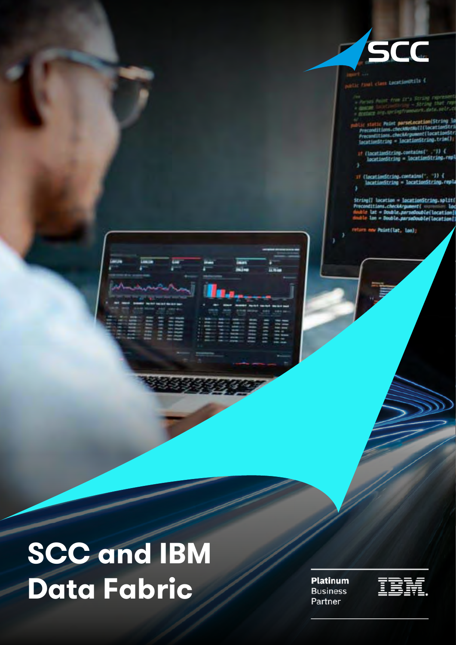

**Final class LacationOtils {** 

- or true 2113
- Lic static Point paraelocation(String la<br>Preconditions.checkNutNutI(locationStri<br>Preconditions.checkArgument(locationStri<br>lacationString = locationString.trim();
- :// {locationString.contains{" ,"}} {<br>locationString = locationString.rmpl
- <sup>17</sup> (locatimString.contains(", ")) {<br>locationString = locationString.repla

String[] location = locationString.split[<br>Preconditions.checkArgument[ loc<br>double lat = Double.purradouble[location] lan = Dauble.parsa0ouble(location)

sim new Point(lat, lon);



**Platinum Business** Partner

m

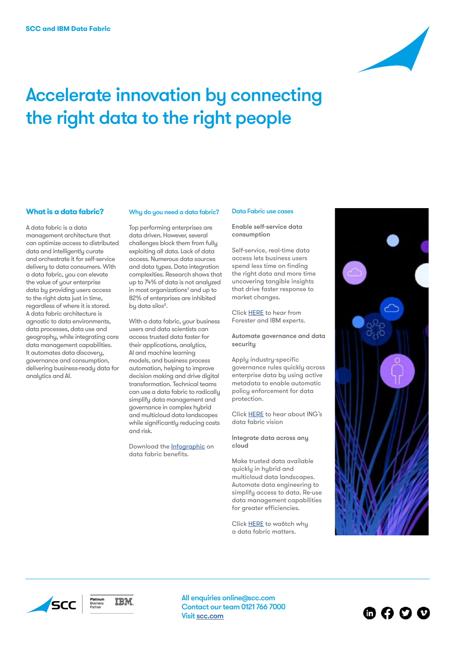

# Accelerate innovation by connecting the right data to the right people

# **What is a data fabric?**

A data fabric is a data management architecture that can optimize access to distributed data and intelligently curate and orchestrate it for self-service delivery to data consumers. With a data fabric, you can elevate the value of your enterprise data by providing users access to the right data just in time, regardless of where it is stored. A data fabric architecture is agnostic to data environments, data processes, data use and geography, while integrating core data management capabilities. It automates data discovery, governance and consumption, delivering business-ready data for analytics and AI.

### Why do you need a data fabric?

Top performing enterprises are data driven. However, several challenges block them from fully exploiting all data. Lack of data access. Numerous data sources and data types. Data integration complexities. Research shows that up to 74% of data is not analyzed in most organizations<sup>1</sup> and up to 82% of enterprises are inhibited by data silos².

With a data fabric, your business users and data scientists can access trusted data faster for their applications, analytics, AI and machine learning models, and business process automation, helping to improve decision making and drive digital transformation. Technical teams can use a data fabric to radically simplify data management and governance in complex hybrid and multicloud data landscapes while significantly reducing costs and risk.

Download the **Infographic** on data fabric benefits.

## Data Fabric use cases

Enable self-service data consumption

Self-service, real-time data access lets business users spend less time on finding the right data and more time uncovering tangible insights that drive faster response to market changes.

Click [HERE](https://event.on24.com/eventRegistration/console/EventConsoleApollo) to hear from Forester and IBM experts.

Automate governance and data security

Apply industry-specific governance rules quickly across enterprise data by using active metadata to enable automatic policy enforcement for data protection.

Click [HERE](https://www.ibm.com/analytics/data-fabric) to hear about ING's data fabric vision

Integrate data across any cloud

Make trusted data available quickly in hybrid and multicloud data landscapes. Automate data engineering to simplify access to data. Re-use data management capabilities for greater efficiencies.

Click **HERE** to wa6tch why a data fabric matters.



◎ ☆ ◎ ◎





All enquiries online@scc.com Contact our team 0121 766 7000 Visit [scc.com](https://www.scc.com)